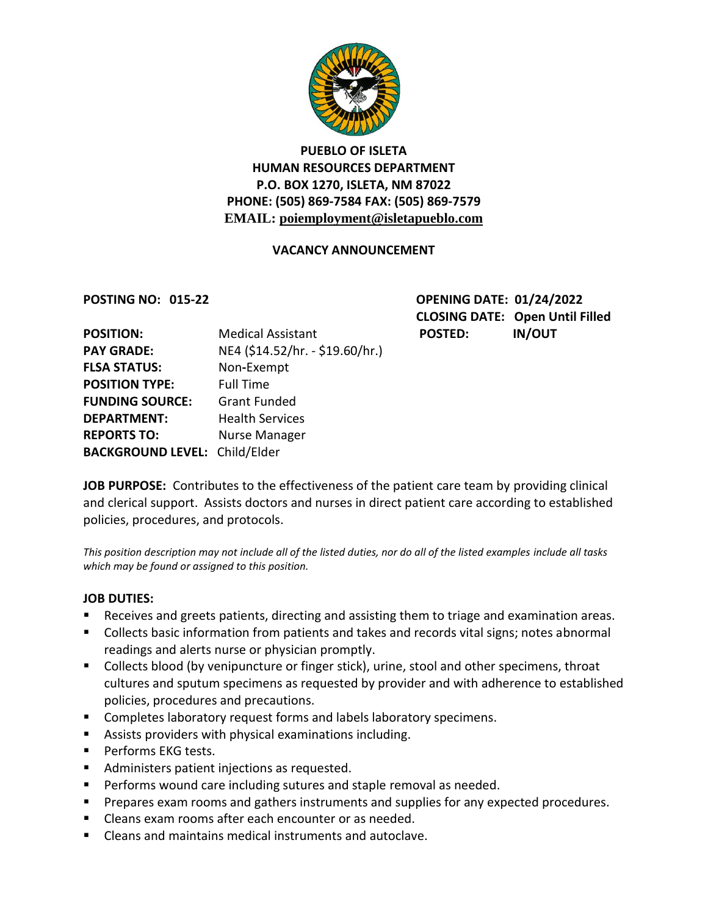

# **PUEBLO OF ISLETA HUMAN RESOURCES DEPARTMENT P.O. BOX 1270, ISLETA, NM 87022 PHONE: (505) 869-7584 FAX: (505) 869-7579 EMAIL: poiemployment@isletapueblo.com**

#### **VACANCY ANNOUNCEMENT**

**POSTING NO: 015-22 OPENING DATE: 01/24/2022 CLOSING DATE: Open Until Filled POSTED: IN/OUT** 

| <b>POSITION:</b>                     | <b>Medical Assistant</b>        |
|--------------------------------------|---------------------------------|
| <b>PAY GRADE:</b>                    | NE4 (\$14.52/hr. - \$19.60/hr.) |
| <b>FLSA STATUS:</b>                  | Non-Exempt                      |
| <b>POSITION TYPE:</b>                | <b>Full Time</b>                |
| <b>FUNDING SOURCE:</b>               | <b>Grant Funded</b>             |
| <b>DEPARTMENT:</b>                   | <b>Health Services</b>          |
| <b>REPORTS TO:</b>                   | Nurse Manager                   |
| <b>BACKGROUND LEVEL: Child/Elder</b> |                                 |

**JOB PURPOSE:** Contributes to the effectiveness of the patient care team by providing clinical and clerical support. Assists doctors and nurses in direct patient care according to established policies, procedures, and protocols.

*This position description may not include all of the listed duties, nor do all of the listed examples include all tasks which may be found or assigned to this position.*

#### **JOB DUTIES:**

- Receives and greets patients, directing and assisting them to triage and examination areas.
- Collects basic information from patients and takes and records vital signs; notes abnormal readings and alerts nurse or physician promptly.
- **Collects blood (by venipuncture or finger stick), urine, stool and other specimens, throat** cultures and sputum specimens as requested by provider and with adherence to established policies, procedures and precautions.
- **EXP** Completes laboratory request forms and labels laboratory specimens.
- Assists providers with physical examinations including.
- **Performs EKG tests.**
- **Administers patient injections as requested.**
- **Performs wound care including sutures and staple removal as needed.**
- **Prepares exam rooms and gathers instruments and supplies for any expected procedures.**
- **E** Cleans exam rooms after each encounter or as needed.
- Cleans and maintains medical instruments and autoclave.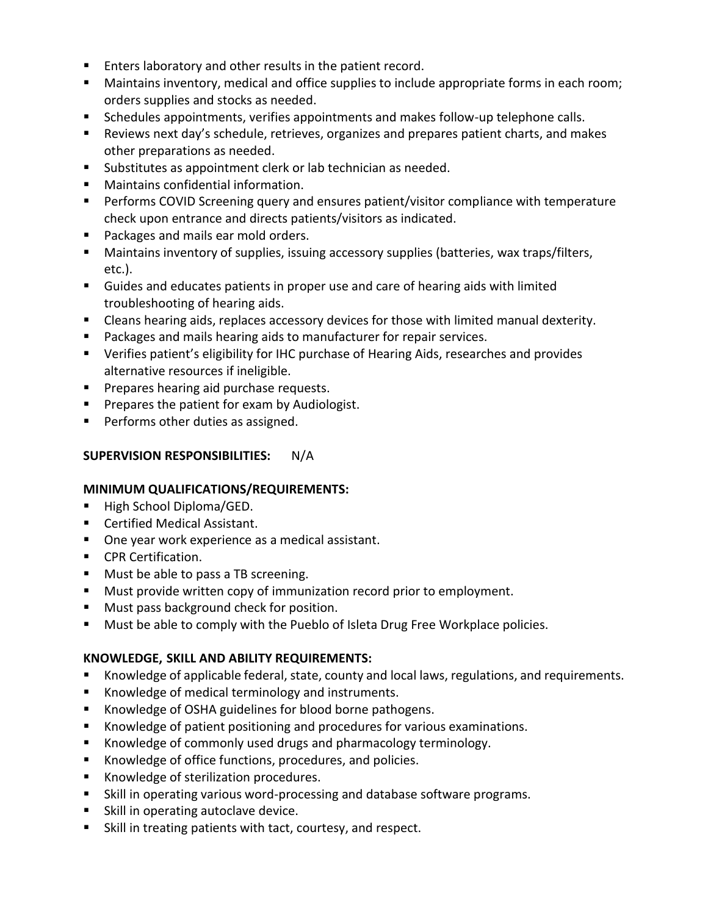- **Enters laboratory and other results in the patient record.**
- **Maintains inventory, medical and office supplies to include appropriate forms in each room;** orders supplies and stocks as needed.
- **Schedules appointments, verifies appointments and makes follow-up telephone calls.**
- Reviews next day's schedule, retrieves, organizes and prepares patient charts, and makes other preparations as needed.
- Substitutes as appointment clerk or lab technician as needed.
- **Maintains confidential information.**
- **Performs COVID Screening query and ensures patient/visitor compliance with temperature** check upon entrance and directs patients/visitors as indicated.
- **Packages and mails ear mold orders.**
- Maintains inventory of supplies, issuing accessory supplies (batteries, wax traps/filters, etc.).
- Guides and educates patients in proper use and care of hearing aids with limited troubleshooting of hearing aids.
- Cleans hearing aids, replaces accessory devices for those with limited manual dexterity.
- **Packages and mails hearing aids to manufacturer for repair services.**
- Verifies patient's eligibility for IHC purchase of Hearing Aids, researches and provides alternative resources if ineligible.
- **Prepares hearing aid purchase requests.**
- **Prepares the patient for exam by Audiologist.**
- **Performs other duties as assigned.**

# **SUPERVISION RESPONSIBILITIES:** N/A

## **MINIMUM QUALIFICATIONS/REQUIREMENTS:**

- High School Diploma/GED.
- **Certified Medical Assistant.**
- One year work experience as a medical assistant.
- **CPR Certification.**
- **Must be able to pass a TB screening.**
- **Must provide written copy of immunization record prior to employment.**
- **Must pass background check for position.**
- **Must be able to comply with the Pueblo of Isleta Drug Free Workplace policies.**

## **KNOWLEDGE, SKILL AND ABILITY REQUIREMENTS:**

- Knowledge of applicable federal, state, county and local laws, regulations, and requirements.
- Knowledge of medical terminology and instruments.
- Knowledge of OSHA guidelines for blood borne pathogens.
- Knowledge of patient positioning and procedures for various examinations.
- Knowledge of commonly used drugs and pharmacology terminology.
- Knowledge of office functions, procedures, and policies.
- Knowledge of sterilization procedures.
- Skill in operating various word-processing and database software programs.
- **Skill in operating autoclave device.**
- Skill in treating patients with tact, courtesy, and respect.